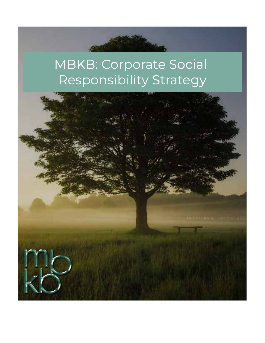# MBKB: Corporate Social Responsibility Strategy

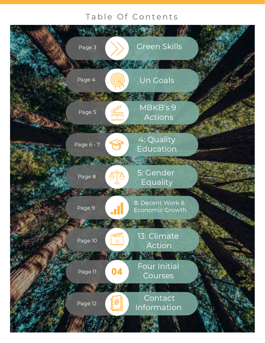## Table Of Contents

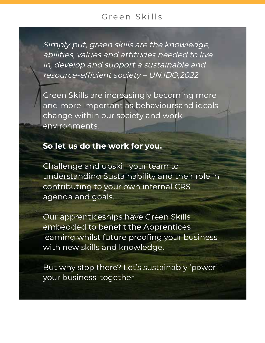## Green Skills

Simply put, green skills are the knowledge, abilities, values and attitudes needed to live in, develop and support a sustainable and resource-efficient society – UN.IDO,2022

Green Skills are increasingly becoming more and more important as behavioursand ideals change within our society and work environments.

## So let us do the work for you.

Challenge and upskill your team to understanding Sustainability and their role in contributing to your own internal CRS agenda and goals.

Our apprenticeships have Green Skills embedded to benefit the Apprentices learning whilst future proofing your business with new skills and knowledge.

But why stop there? Let's sustainably 'power' your business, together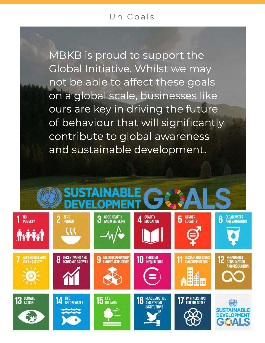#### Un Goals

MBKB is proud to support the Global Initiative. Whilst we may not be able to affect these goals on a global scale, businesses like ours are key in driving the future of behaviour that will significantly contribute to global awareness and sustainable development.

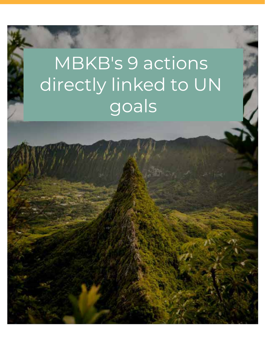# MBKB's 9 actions directly linked to UN goals

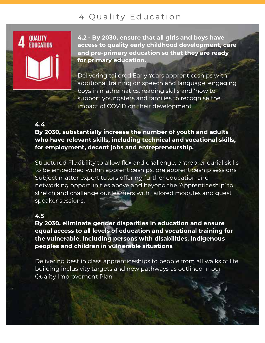## 4 Quality Education



4.2 - By 2030, ensure that all girls and boys have access to quality early childhood development, care and pre-primary education so that they are ready for primary education.

Delivering tailored Early Years apprenticeships with additional training on speech and language, engaging boys in mathematics, reading skills and 'how to support youngsters and families to recognise the impact of COVID on their development

#### 4.4

By 2030, substantially increase the number of youth and adults who have relevant skills, including technical and vocational skills, for employment, decent jobs and entrepreneurship.

Structured Flexibility to allow flex and challenge, entrepreneurial skills to be embedded within apprenticeships, pre apprenticeship sessions. Subject matter expert tutors offering further education and networking opportunities above and beyond the 'Apprenticeship' to stretch and challenge our learners with tailored modules and guest speaker sessions.

#### 4.5

By 2030, eliminate gender disparities in education and ensure equal access to all levels of education and vocational training for the vulnerable, including persons with disabilities, indigenous peoples and children in vulnerable situations

Delivering best in class apprenticeships to people from all walks of life building inclusivity targets and new pathways as outlined in our Quality Improvement Plan.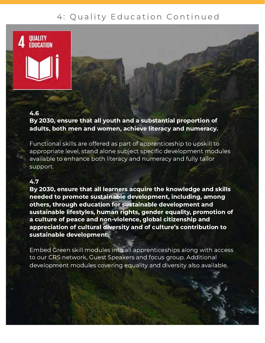## 4: Quality Education Continued

#### 4.6

OUALITY FNIICATINN

By 2030, ensure that all youth and a substantial proportion of adults, both men and women, achieve literacy and numeracy.

Functional skills are offered as part of apprenticeship to upskill to appropriate level, stand alone subject specific development modules available to enhance both literacy and numeracy and fully tailor support.

#### 4.7

By 2030, ensure that all learners acquire the knowledge and skills needed to promote sustainable development, including, among others, through education for sustainable development and sustainable lifestyles, human rights, gender equality, promotion of a culture of peace and non-violence, global citizenship and appreciation of cultural diversity and of culture's contribution to sustainable development.

Embed Green skill modules into all apprenticeships along with access to our CRS network, Guest Speakers and focus group. Additional development modules covering equality and diversity also available.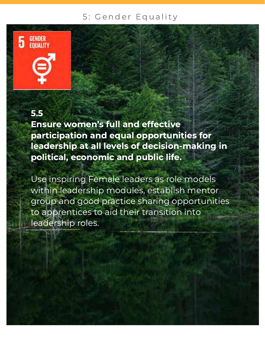## 5: Gender Equality

## 5.5

Ensure women's full and effective participation and equal opportunities for leadership at all levels of decision-making in political, economic and public life.

Use inspiring Female leaders as role models within leadership modules, establish mentor group and good practice sharing opportunities to apprentices to aid their transition into leadership roles.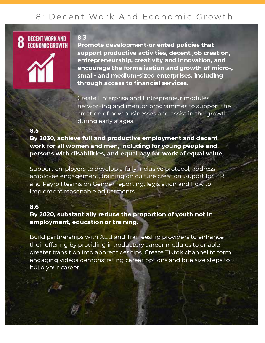## 8: Decent Work And Economic Growth





#### 8.3

Promote development-oriented policies that support productive activities, decent job creation, entrepreneurship, creativity and innovation, and encourage the formalization and growth of micro-, small- and medium-sized enterprises, including through access to financial services.

Create Enterprise and Entrepreneur modules, networking and mentor programmes to support the creation of new businesses and assist in the growth during early stages.

#### 8.5

By 2030, achieve full and productive employment and decent work for all women and men, including for young people and persons with disabilities, and equal pay for work of equal value.

Support employers to develop a fully inclusive protocol, address employee engagement, training on culture creation. Suport for HR and Payroll teams on Gender reporting, legislation and how to implement reasonable adjustments.

#### 8.6

#### By 2020, substantially reduce the proportion of youth not in employment, education or training.

Build partnerships with AEB and Traineeship providers to enhance their offering by providing introductory career modules to enable greater transition into apprenticeships. Create Tiktok channel to form engaging videos demonstrating career options and bite size steps to build your career.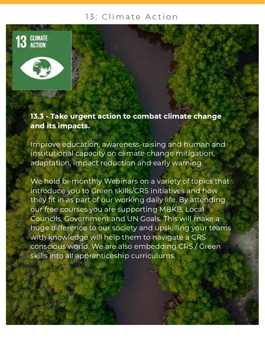#### 13: Climate Action



13.3 - Take urgent action to combat climate change and its impacts.

Improve education, awareness-raising and human and institutional capacity on climate change mitigation, adaptation, impact reduction and early warning.

We hold bi-monthly Webinars on a variety of topics that introduce you to Green skills/CRS initiatives and how they fit in as part of our working daily life. By attending our free courses you are supporting MBKB, Local Councils, Government and UN Goals. This will make a huge difference to our society and upskilling your teams with knowledge will help them to navigate a CRS conscious world. We are also embedding CRS / Green skills into all apprenticeship curriculums.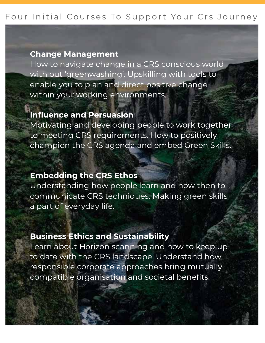#### Four Initial Courses To Support Your Crs Journey

#### Change Management

How to navigate change in a CRS conscious world with out 'greenwashing'. Upskilling with tools to enable you to plan and direct positive change within your working environments.

#### Influence and Persuasion

Motivating and developing people to work together to meeting CRS requirements. How to positively champion the CRS agenda and embed Green Skills.

#### Embedding the CRS Ethos

Understanding how people learn and how then to communicate CRS techniques. Making green skills a part of everyday life.

#### Business Ethics and Sustainability

Learn about Horizon scanning and how to keep up to date with the CRS landscape. Understand how responsible corporate approaches bring mutually compatible organisation and societal benefits.